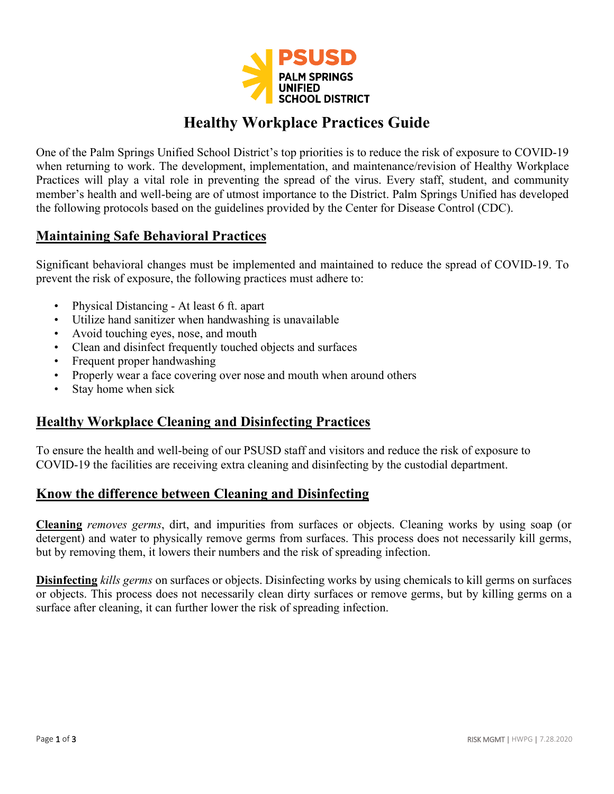

# **Healthy Workplace Practices Guide**

One of the Palm Springs Unified School District's top priorities is to reduce the risk of exposure to COVID-19 when returning to work. The development, implementation, and maintenance/revision of Healthy Workplace Practices will play a vital role in preventing the spread of the virus. Every staff, student, and community member's health and well-being are of utmost importance to the District. Palm Springs Unified has developed the following protocols based on the guidelines provided by the Center for Disease Control (CDC).

#### **Maintaining Safe Behavioral Practices**

Significant behavioral changes must be implemented and maintained to reduce the spread of COVID-19. To prevent the risk of exposure, the following practices must adhere to:

- Physical Distancing At least 6 ft. apart
- Utilize hand sanitizer when handwashing is unavailable
- Avoid touching eyes, nose, and mouth
- Clean and disinfect frequently touched objects and surfaces
- Frequent proper handwashing
- Properly wear a face covering over nose and mouth when around others
- Stay home when sick

#### **Healthy Workplace Cleaning and Disinfecting Practices**

To ensure the health and well-being of our PSUSD staff and visitors and reduce the risk of exposure to COVID-19 the facilities are receiving extra cleaning and disinfecting by the custodial department.

## **Know the difference between Cleaning and Disinfecting**

**Cleaning** *removes germs*, dirt, and impurities from surfaces or objects. Cleaning works by using soap (or detergent) and water to physically remove germs from surfaces. This process does not necessarily kill germs, but by removing them, it lowers their numbers and the risk of spreading infection.

**Disinfecting** *kills germs* on surfaces or objects. Disinfecting works by using chemicals to kill germs on surfaces or objects. This process does not necessarily clean dirty surfaces or remove germs, but by killing germs on a surface after cleaning, it can further lower the risk of spreading infection.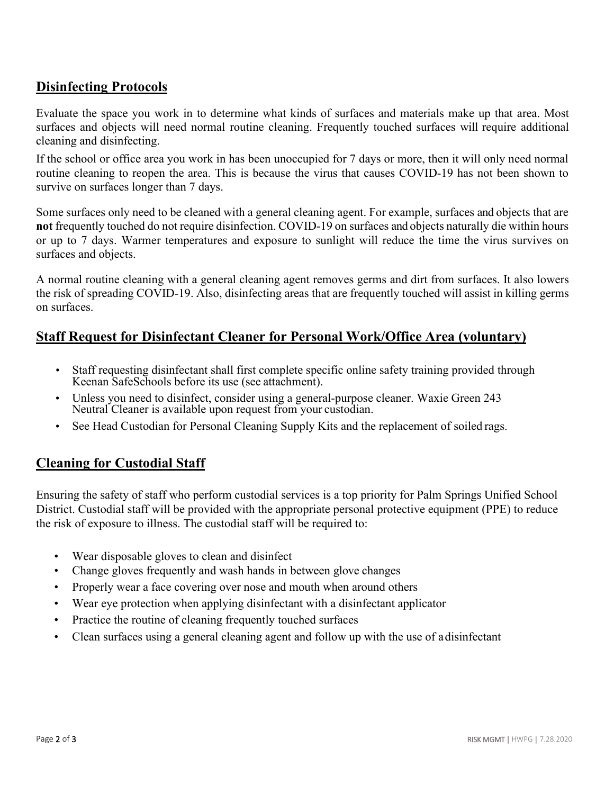## **Disinfecting Protocols**

Evaluate the space you work in to determine what kinds of surfaces and materials make up that area. Most surfaces and objects will need normal routine cleaning. Frequently touched surfaces will require additional cleaning and disinfecting.

If the school or office area you work in has been unoccupied for 7 days or more, then it will only need normal routine cleaning to reopen the area. This is because the virus that causes COVID-19 has not been shown to survive on surfaces longer than 7 days.

Some surfaces only need to be cleaned with a general cleaning agent. For example, surfaces and objects that are **not** frequently touched do not require disinfection. COVID-19 on surfaces and objects naturally die within hours or up to 7 days. Warmer temperatures and exposure to sunlight will reduce the time the virus survives on surfaces and objects.

A normal routine cleaning with a general cleaning agent removes germs and dirt from surfaces. It also lowers the risk of spreading COVID-19. Also, disinfecting areas that are frequently touched will assist in killing germs on surfaces.

## **Staff Request for Disinfectant Cleaner for Personal Work/Office Area (voluntary)**

- Staff requesting disinfectant shall first complete specific online safety training provided through Keenan SafeSchools before its use (see attachment).
- Unless you need to disinfect, consider using a general-purpose cleaner. Waxie Green 243 Neutral Cleaner is available upon request from your custodian.
- See Head Custodian for Personal Cleaning Supply Kits and the replacement of soiled rags.

## **Cleaning for Custodial Staff**

Ensuring the safety of staff who perform custodial services is a top priority for Palm Springs Unified School District. Custodial staff will be provided with the appropriate personal protective equipment (PPE) to reduce the risk of exposure to illness. The custodial staff will be required to:

- Wear disposable gloves to clean and disinfect
- Change gloves frequently and wash hands in between glove changes
- Properly wear a face covering over nose and mouth when around others
- Wear eye protection when applying disinfectant with a disinfectant applicator
- Practice the routine of cleaning frequently touched surfaces
- Clean surfaces using a general cleaning agent and follow up with the use of a disinfectant